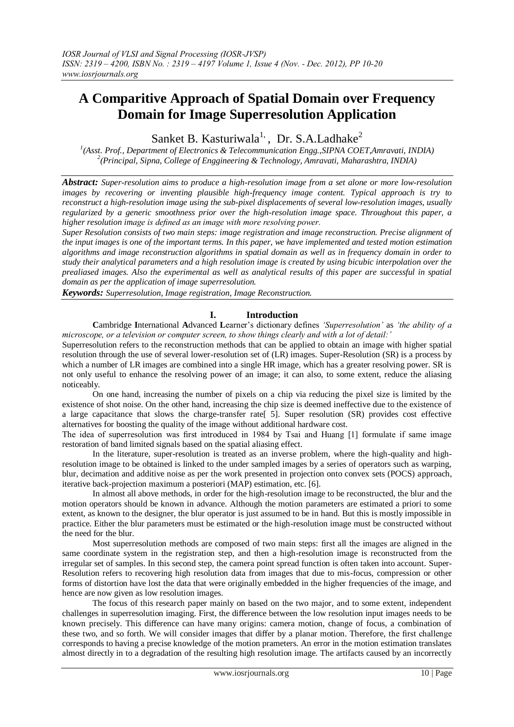# **A Comparitive Approach of Spatial Domain over Frequency Domain for Image Superresolution Application**

Sanket B. Kasturiwala<sup>1,</sup>, Dr. S.A.Ladhake<sup>2</sup>

<sup>1</sup>(Asst. Prof., Department of Electronics & Telecommunication Engg., SIPNA COET, Amravati, INDIA) *2 (Principal, Sipna, College of Enggineering & Technology, Amravati, Maharashtra, INDIA)*

*Abstract: Super-resolution aims to produce a high-resolution image from a set alone or more low-resolution images by recovering or inventing plausible high-frequency image content. Typical approach is try to reconstruct a high-resolution image using the sub-pixel displacements of several low-resolution images, usually regularized by a generic smoothness prior over the high-resolution image space. Throughout this paper, a higher resolution image is defined as an image with more resolving power.*

*Super Resolution consists of two main steps: image registration and image reconstruction. Precise alignment of the input images is one of the important terms. In this paper, we have implemented and tested motion estimation algorithms and image reconstruction algorithms in spatial domain as well as in frequency domain in order to study their analytical parameters and a high resolution image is created by using bicubic interpolation over the prealiased images. Also the experimental as well as analytical results of this paper are successful in spatial domain as per the application of image superresolution.*

*Keywords: Superresolution, Image registration, Image Reconstruction.*

# **I. Introduction**

**C**ambridge **I**nternational **A**dvanced **L**earner"s dictionary defines *'Superresolution'* as *'the ability of a microscope, or a television or computer screen, to show things clearly and with a lot of detail:'*

Superresolution refers to the reconstruction methods that can be applied to obtain an image with higher spatial resolution through the use of several lower-resolution set of (LR) images. Super-Resolution (SR) is a process by which a number of LR images are combined into a single HR image, which has a greater resolving power. SR is not only useful to enhance the resolving power of an image; it can also, to some extent, reduce the aliasing noticeably.

On one hand, increasing the number of pixels on a chip via reducing the pixel size is limited by the existence of shot noise. On the other hand, increasing the chip size is deemed ineffective due to the existence of a large capacitance that slows the charge-transfer rate[ 5]. Super resolution (SR) provides cost effective alternatives for boosting the quality of the image without additional hardware cost.

The idea of superresolution was first introduced in 1984 by Tsai and Huang [1] formulate if same image restoration of band limited signals based on the spatial aliasing effect.

In the literature, super-resolution is treated as an inverse problem, where the high-quality and highresolution image to be obtained is linked to the under sampled images by a series of operators such as warping, blur, decimation and additive noise as per the work presented in projection onto convex sets (POCS) approach, iterative back-projection maximum a posteriori (MAP) estimation, etc. [6].

In almost all above methods, in order for the high-resolution image to be reconstructed, the blur and the motion operators should be known in advance. Although the motion parameters are estimated a priori to some extent, as known to the designer, the blur operator is just assumed to be in hand. But this is mostly impossible in practice. Either the blur parameters must be estimated or the high-resolution image must be constructed without the need for the blur.

Most superresolution methods are composed of two main steps: first all the images are aligned in the same coordinate system in the registration step, and then a high-resolution image is reconstructed from the irregular set of samples. In this second step, the camera point spread function is often taken into account. Super-Resolution refers to recovering high resolution data from images that due to mis-focus, compression or other forms of distortion have lost the data that were originally embedded in the higher frequencies of the image, and hence are now given as low resolution images.

The focus of this research paper mainly on based on the two major, and to some extent, independent challenges in superresolution imaging. First, the difference between the low resolution input images needs to be known precisely. This difference can have many origins: camera motion, change of focus, a combination of these two, and so forth. We will consider images that differ by a planar motion. Therefore, the first challenge corresponds to having a precise knowledge of the motion prameters. An error in the motion estimation translates almost directly in to a degradation of the resulting high resolution image. The artifacts caused by an incorrectly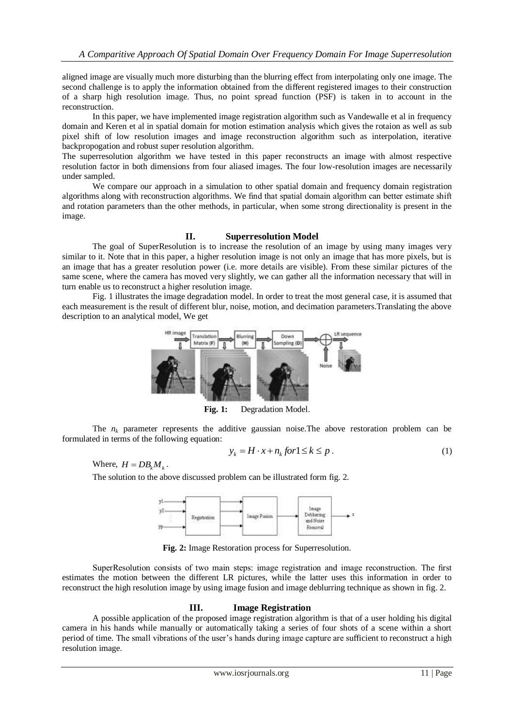aligned image are visually much more disturbing than the blurring effect from interpolating only one image. The second challenge is to apply the information obtained from the different registered images to their construction of a sharp high resolution image. Thus, no point spread function (PSF) is taken in to account in the reconstruction.

In this paper, we have implemented image registration algorithm such as Vandewalle et al in frequency domain and Keren et al in spatial domain for motion estimation analysis which gives the rotaion as well as sub pixel shift of low resolution images and image reconstruction algorithm such as interpolation, iterative backpropogation and robust super resolution algorithm.

The superresolution algorithm we have tested in this paper reconstructs an image with almost respective resolution factor in both dimensions from four aliased images. The four low-resolution images are necessarily under sampled.

We compare our approach in a simulation to other spatial domain and frequency domain registration algorithms along with reconstruction algorithms. We find that spatial domain algorithm can better estimate shift and rotation parameters than the other methods, in particular, when some strong directionality is present in the image.

## **II. Superresolution Model**

The goal of SuperResolution is to increase the resolution of an image by using many images very similar to it. Note that in this paper, a higher resolution image is not only an image that has more pixels, but is an image that has a greater resolution power (i.e. more details are visible). From these similar pictures of the same scene, where the camera has moved very slightly, we can gather all the information necessary that will in turn enable us to reconstruct a higher resolution image.

Fig. 1 illustrates the image degradation model. In order to treat the most general case, it is assumed that each measurement is the result of different blur, noise, motion, and decimation parameters.Translating the above description to an analytical model, We get



**Fig. 1:** Degradation Model.

The  $n_k$  parameter represents the additive gaussian noise. The above restoration problem can be formulated in terms of the following equation:

$$
y_k = H \cdot x + n_k \text{ for } 1 \le k \le p \tag{1}
$$

Where,  $H = DB_k M_k$ .

The solution to the above discussed problem can be illustrated form fig. 2.



**Fig. 2:** Image Restoration process for Superresolution.

SuperResolution consists of two main steps: image registration and image reconstruction. The first estimates the motion between the different LR pictures, while the latter uses this information in order to reconstruct the high resolution image by using image fusion and image deblurring technique as shown in fig. 2.

## **III. Image Registration**

A possible application of the proposed image registration algorithm is that of a user holding his digital camera in his hands while manually or automatically taking a series of four shots of a scene within a short period of time. The small vibrations of the user"s hands during image capture are sufficient to reconstruct a high resolution image.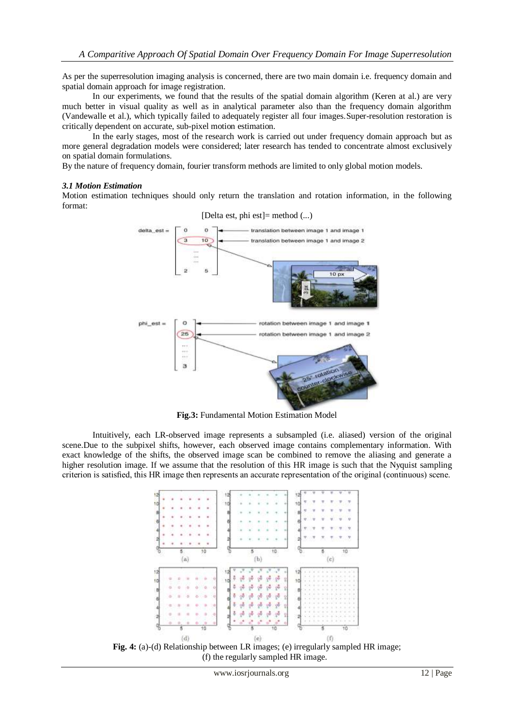As per the superresolution imaging analysis is concerned, there are two main domain i.e. frequency domain and spatial domain approach for image registration.

In our experiments, we found that the results of the spatial domain algorithm (Keren at al.) are very much better in visual quality as well as in analytical parameter also than the frequency domain algorithm (Vandewalle et al.), which typically failed to adequately register all four images.Super-resolution restoration is critically dependent on accurate, sub-pixel motion estimation.

In the early stages, most of the research work is carried out under frequency domain approach but as more general degradation models were considered; later research has tended to concentrate almost exclusively on spatial domain formulations.

By the nature of frequency domain, fourier transform methods are limited to only global motion models.

### *3.1 Motion Estimation*

Motion estimation techniques should only return the translation and rotation information, in the following format:



**Fig.3:** Fundamental Motion Estimation Model

Intuitively, each LR-observed image represents a subsampled (i.e. aliased) version of the original scene.Due to the subpixel shifts, however, each observed image contains complementary information. With exact knowledge of the shifts, the observed image scan be combined to remove the aliasing and generate a higher resolution image. If we assume that the resolution of this HR image is such that the Nyquist sampling criterion is satisfied, this HR image then represents an accurate representation of the original (continuous) scene.



**Fig. 4:** (a)-(d) Relationship between LR images; (e) irregularly sampled HR image; (f) the regularly sampled HR image.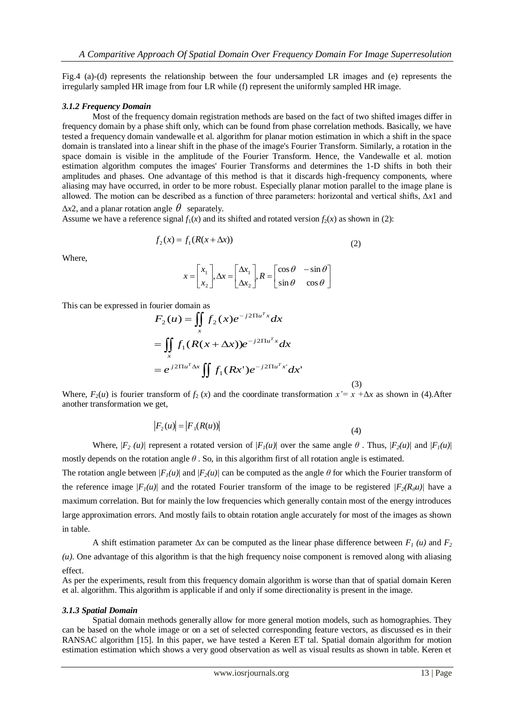Fig.4 (a)-(d) represents the relationship between the four undersampled LR images and (e) represents the irregularly sampled HR image from four LR while (f) represent the uniformly sampled HR image.

## *3.1.2 Frequency Domain*

Most of the frequency domain registration methods are based on the fact of two shifted images differ in frequency domain by a phase shift only, which can be found from phase correlation methods. Basically, we have tested a frequency domain vandewalle et al. algorithm for planar motion estimation in which a shift in the space domain is translated into a linear shift in the phase of the image's Fourier Transform. Similarly, a rotation in the space domain is visible in the amplitude of the Fourier Transform. Hence, the Vandewalle et al. motion estimation algorithm computes the images' Fourier Transforms and determines the 1-D shifts in both their amplitudes and phases. One advantage of this method is that it discards high-frequency components, where aliasing may have occurred, in order to be more robust. Especially planar motion parallel to the image plane is allowed. The motion can be described as a function of three parameters: horizontal and vertical shifts, Δ*x*1 and

 $\Delta x$ <sup>2</sup>, and a planar rotation angle  $\theta$  separately.

Assume we have a reference signal  $f_1(x)$  and its shifted and rotated version  $f_2(x)$  as shown in (2):

$$
f_2(x) = f_1(R(x + \Delta x))
$$
\n(2)

Where,

$$
x = \begin{bmatrix} x_1 \\ x_2 \end{bmatrix}, \Delta x = \begin{bmatrix} \Delta x_1 \\ \Delta x_2 \end{bmatrix}, R = \begin{bmatrix} \cos \theta & -\sin \theta \\ \sin \theta & \cos \theta \end{bmatrix}
$$

This can be expressed in fourier domain as

$$
F_2(u) = \iint\limits_x f_2(x)e^{-j2\Pi u^T x} dx
$$
  
= 
$$
\iint\limits_x f_1(R(x+\Delta x))e^{-j2\Pi u^T x} dx
$$
  
= 
$$
e^{j2\Pi u^T \Delta x} \iint f_1(Rx')e^{-j2\Pi u^T x'} dx'
$$

Where,  $F_2(u)$  is fourier transform of  $f_2(x)$  and the coordinate transformation  $x' = x + \Delta x$  as shown in (4). After another transformation we get,

(3)

$$
\left|F_2(u)\right| = \left|F_1(R(u))\right| \tag{4}
$$

Where,  $|F_2(u)|$  represent a rotated version of  $|F_1(u)|$  over the same angle  $\theta$ . Thus,  $|F_2(u)|$  and  $|F_1(u)|$ mostly depends on the rotation angle *θ* . So, in this algorithm first of all rotation angle is estimated.

The rotation angle between  $|F_I(u)|$  and  $|F_2(u)|$  can be computed as the angle  $\theta$  for which the Fourier transform of the reference image  $|F_1(u)|$  and the rotated Fourier transform of the image to be registered  $|F_2(R_\theta u)|$  have a maximum correlation. But for mainly the low frequencies which generally contain most of the energy introduces large approximation errors. And mostly fails to obtain rotation angle accurately for most of the images as shown in table.

A shift estimation parameter  $\Delta x$  can be computed as the linear phase difference between  $F_I(u)$  and  $F_2$ *(u)*. One advantage of this algorithm is that the high frequency noise component is removed along with aliasing effect.

As per the experiments, result from this frequency domain algorithm is worse than that of spatial domain Keren et al. algorithm. This algorithm is applicable if and only if some directionality is present in the image.

### *3.1.3 Spatial Domain*

Spatial domain methods generally allow for more general motion models, such as homographies. They can be based on the whole image or on a set of selected corresponding feature vectors, as discussed es in their RANSAC algorithm [15]. In this paper, we have tested a Keren ET tal. Spatial domain algorithm for motion estimation estimation which shows a very good observation as well as visual results as shown in table. Keren et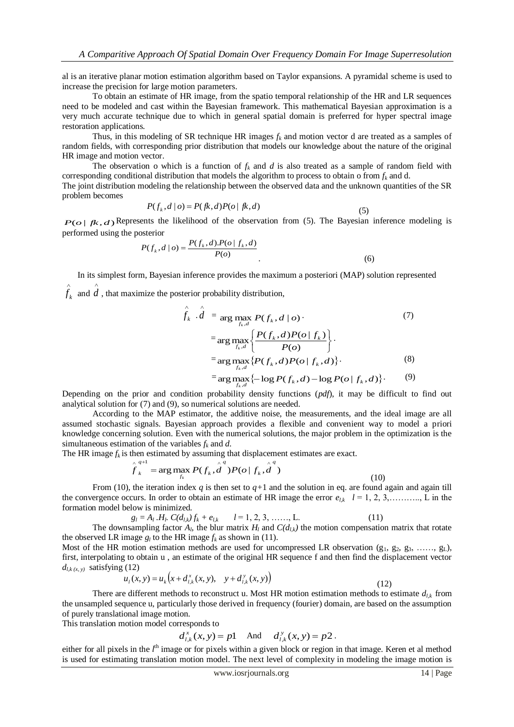al is an iterative planar motion estimation algorithm based on Taylor expansions. A pyramidal scheme is used to increase the precision for large motion parameters.

To obtain an estimate of HR image, from the spatio temporal relationship of the HR and LR sequences need to be modeled and cast within the Bayesian framework. This mathematical Bayesian approximation is a very much accurate technique due to which in general spatial domain is preferred for hyper spectral image restoration applications.

Thus, in this modeling of SR technique HR images  $f_k$  and motion vector d are treated as a samples of random fields, with corresponding prior distribution that models our knowledge about the nature of the original HR image and motion vector.

The observation o which is a function of  $f_k$  and  $d$  is also treated as a sample of random field with corresponding conditional distribution that models the algorithm to process to obtain o from *f<sup>k</sup>* and d.

The joint distribution modeling the relationship between the observed data and the unknown quantities of the SR problem becomes

$$
P(f_k, d \mid o) = P(fk, d)P(o \mid fk, d)
$$
\n(5)

 $P(o | f k, d)$  Represents the likelihood of the observation from (5). The Bayesian inference modeling is performed using the posterior

$$
P(f_k, d \mid o) = \frac{P(f_k, d) \cdot P(o \mid f_k, d)}{P(o)}\tag{6}
$$

In its simplest form, Bayesian inference provides the maximum a posteriori (MAP) solution represented  $\wedge$  $\hat{d}$ , that maximize the posterior probability distribution,

 $f_k$  and

$$
\hat{f}_k \cdot \hat{d} = \arg \max_{f_k, d} P(f_k, d \mid o) \qquad (7)
$$
\n
$$
= \arg \max_{f_k, d} \left\{ \frac{P(f_k, d)P(o \mid f_k)}{P(o)} \right\}.
$$
\n
$$
= \arg \max_{f_k, d} \{ P(f_k, d)P(o \mid f_k, d) \} \qquad (8)
$$
\n
$$
= \arg \max_{f_k, d} \{ -\log P(f_k, d) - \log P(o \mid f_k, d) \} \qquad (9)
$$

Depending on the prior and condition probability density functions (*pdf*), it may be difficult to find out analytical solution for (7) and (9), so numerical solutions are needed.

According to the MAP estimator, the additive noise, the measurements, and the ideal image are all assumed stochastic signals. Bayesian approach provides a flexible and convenient way to model a priori knowledge concerning solution. Even with the numerical solutions, the major problem in the optimization is the simultaneous estimation of the variables  $f_k$  and  $d$ .

The HR image  $f_k$  is then estimated by assuming that displacement estimates are exact.

$$
\hat{f}_k^{\{q+1\}} = \arg\max_{f_k} P(f_k, \hat{d}^q) P(o | f_k, \hat{d}^q)
$$
\n(10)

From (10), the iteration index *q* is then set to  $q+1$  and the solution in eq. are found again and again till the convergence occurs. In order to obtain an estimate of HR image the error  $e_{l,k}$   $l = 1, 2, 3, \ldots, L$  in the formation model below is minimized.

$$
g_l = A_l \cdot H_l \cdot C(d_{l,k}) f_k + e_{l,k} \qquad l = 1, 2, 3, \dots, L. \tag{11}
$$
  
incommling factor A, the blue matrix H and C(d) the motion commensative

The downsampling factor  $A_l$ , the blur matrix  $H_l$  and  $C(d_{l,k})$  the motion compensation matrix that rotate the observed LR image  $g_l$  to the HR image  $f_k$  as shown in (11).

Most of the HR motion estimation methods are used for uncompressed LR observation  $(g_1, g_2, g_3, \ldots, g_L)$ , first, interpolating to obtain u , an estimate of the original HR sequence f and then find the displacement vector  $d_{l,k(x, y)}$  satisfying (12)

$$
u_{1}(x, y) = u_{k}\left(x + d_{l,k}^{x}(x, y), y + d_{l,k}^{y}(x, y)\right)
$$
\n(12)

There are different methods to reconstruct u. Most HR motion estimation methods to estimate  $d_{l,k}$  from the unsampled sequence u, particularly those derived in frequency (fourier) domain, are based on the assumption of purely translational image motion.

This translation motion model corresponds to

$$
d_{i,k}^x(x, y) = p1
$$
 And  $d_{i,k}^y(x, y) = p2$ .

either for all pixels in the *l*<sup>th</sup> image or for pixels within a given block or region in that image. Keren et al method is used for estimating translation motion model. The next level of complexity in modeling the image motion is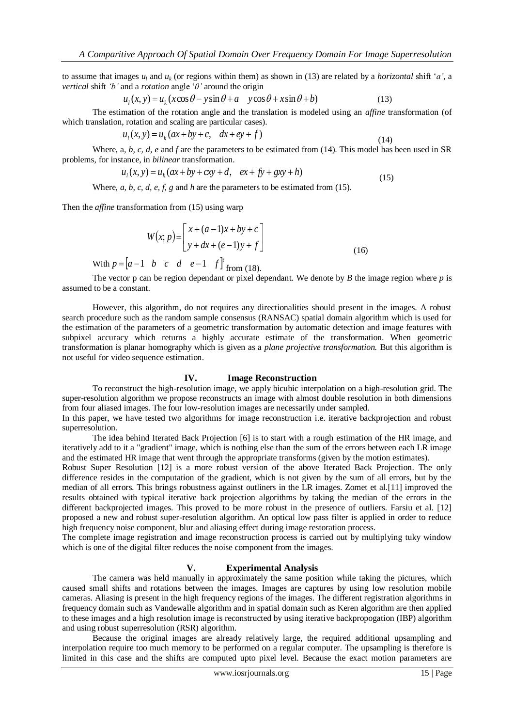to assume that images  $u_l$  and  $u_k$  (or regions within them) as shown in (13) are related by a *horizontal* shift '*a'*, a *vertical* shift *'b'* and a *rotation* angle "*θ'* around the origin

$$
u_1(x, y) = u_k(x\cos\theta - y\sin\theta + a - y\cos\theta + x\sin\theta + b)
$$
 (13)

The estimation of the rotation angle and the translation is modeled using an *affine* transformation (of which translation, rotation and scaling are particular cases).

$$
u_1(x, y) = u_k(ax + by + c, dx + ey + f)
$$
\n(14)

Where, a*, b, c, d, e* and *f* are the parameters to be estimated from (14). This model has been used in SR problems, for instance, in *bilinear* transformation.

$$
u_1(x, y) = u_k(ax + by + cxy + d, ex + fy + gxy + h)
$$
\n(15)

Where, *a*, *b*, *c*, *d*, *e*, *f*, *g* and *h* are the parameters to be estimated from (15).

Then the *affine* transformation from (15) using warp

$$
W(x; p) = \begin{bmatrix} x + (a-1)x + by + c \\ y + dx + (e-1)y + f \end{bmatrix}
$$
 (16)

With  $p = [a-1 \quad b \quad c \quad d \quad e-1 \quad f]'$  from (18).

The vector p can be region dependant or pixel dependant. We denote by *B* the image region where *p* is assumed to be a constant.

However, this algorithm, do not requires any directionalities should present in the images. A robust search procedure such as the random sample consensus (RANSAC) spatial domain algorithm which is used for the estimation of the parameters of a geometric transformation by automatic detection and image features with subpixel accuracy which returns a highly accurate estimate of the transformation. When geometric transformation is planar homography which is given as a *plane projective transformation.* But this algorithm is not useful for video sequence estimation.

#### **IV. Image Reconstruction**

To reconstruct the high-resolution image, we apply bicubic interpolation on a high-resolution grid. The super-resolution algorithm we propose reconstructs an image with almost double resolution in both dimensions from four aliased images. The four low-resolution images are necessarily under sampled.

In this paper, we have tested two algorithms for image reconstruction i.e. iterative backprojection and robust superresolution.

The idea behind Iterated Back Projection [6] is to start with a rough estimation of the HR image, and iteratively add to it a "gradient" image, which is nothing else than the sum of the errors between each LR image and the estimated HR image that went through the appropriate transforms (given by the motion estimates).

Robust Super Resolution [12] is a more robust version of the above Iterated Back Projection. The only difference resides in the computation of the gradient, which is not given by the sum of all errors, but by the median of all errors. This brings robustness against outliners in the LR images. Zomet et al.[11] improved the results obtained with typical iterative back projection algorithms by taking the median of the errors in the different backprojected images. This proved to be more robust in the presence of outliers. Farsiu et al. [12] proposed a new and robust super-resolution algorithm. An optical low pass filter is applied in order to reduce high frequency noise component, blur and aliasing effect during image restoration process.

The complete image registration and image reconstruction process is carried out by multiplying tuky window which is one of the digital filter reduces the noise component from the images.

## **V. Experimental Analysis**

The camera was held manually in approximately the same position while taking the pictures, which caused small shifts and rotations between the images. Images are captures by using low resolution mobile cameras. Aliasing is present in the high frequency regions of the images. The different registration algorithms in frequency domain such as Vandewalle algorithm and in spatial domain such as Keren algorithm are then applied to these images and a high resolution image is reconstructed by using iterative backpropogation (IBP) algorithm and using robust superresolution (RSR) algorithm.

Because the original images are already relatively large, the required additional upsampling and interpolation require too much memory to be performed on a regular computer. The upsampling is therefore is limited in this case and the shifts are computed upto pixel level. Because the exact motion parameters are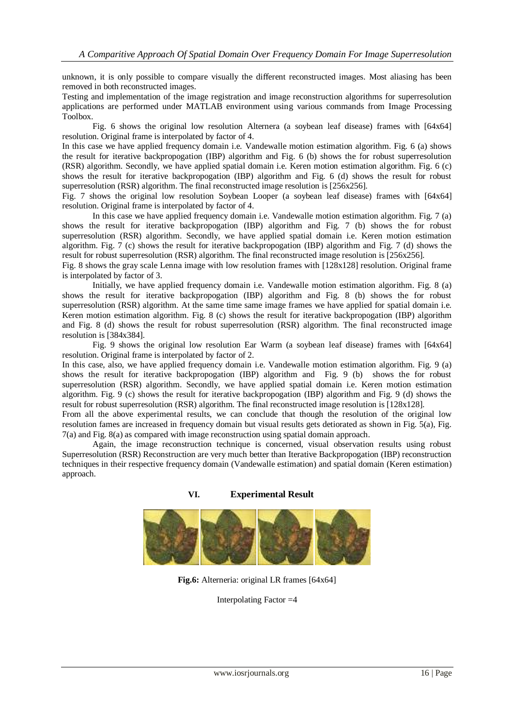unknown, it is only possible to compare visually the different reconstructed images. Most aliasing has been removed in both reconstructed images.

Testing and implementation of the image registration and image reconstruction algorithms for superresolution applications are performed under MATLAB environment using various commands from Image Processing Toolbox.

Fig. 6 shows the original low resolution Alternera (a soybean leaf disease) frames with [64x64] resolution. Original frame is interpolated by factor of 4.

In this case we have applied frequency domain i.e. Vandewalle motion estimation algorithm. Fig. 6 (a) shows the result for iterative backpropogation (IBP) algorithm and Fig. 6 (b) shows the for robust superresolution (RSR) algorithm. Secondly, we have applied spatial domain i.e. Keren motion estimation algorithm. Fig. 6 (c) shows the result for iterative backpropogation (IBP) algorithm and Fig. 6 (d) shows the result for robust superresolution (RSR) algorithm. The final reconstructed image resolution is [256x256].

Fig. 7 shows the original low resolution Soybean Looper (a soybean leaf disease) frames with [64x64] resolution. Original frame is interpolated by factor of 4.

In this case we have applied frequency domain i.e. Vandewalle motion estimation algorithm. Fig. 7 (a) shows the result for iterative backpropogation (IBP) algorithm and Fig. 7 (b) shows the for robust superresolution (RSR) algorithm. Secondly, we have applied spatial domain i.e. Keren motion estimation algorithm. Fig. 7 (c) shows the result for iterative backpropogation (IBP) algorithm and Fig. 7 (d) shows the result for robust superresolution (RSR) algorithm. The final reconstructed image resolution is [256x256].

Fig. 8 shows the gray scale Lenna image with low resolution frames with [128x128] resolution. Original frame is interpolated by factor of 3.

Initially, we have applied frequency domain i.e. Vandewalle motion estimation algorithm. Fig. 8 (a) shows the result for iterative backpropogation (IBP) algorithm and Fig. 8 (b) shows the for robust superresolution (RSR) algorithm. At the same time same image frames we have applied for spatial domain i.e. Keren motion estimation algorithm. Fig. 8 (c) shows the result for iterative backpropogation (IBP) algorithm and Fig. 8 (d) shows the result for robust superresolution (RSR) algorithm. The final reconstructed image resolution is [384x384].

Fig. 9 shows the original low resolution Ear Warm (a soybean leaf disease) frames with [64x64] resolution. Original frame is interpolated by factor of 2.

In this case, also, we have applied frequency domain i.e. Vandewalle motion estimation algorithm. Fig. 9 (a) shows the result for iterative backpropogation (IBP) algorithm and Fig. 9 (b) shows the for robust superresolution (RSR) algorithm. Secondly, we have applied spatial domain i.e. Keren motion estimation algorithm. Fig. 9 (c) shows the result for iterative backpropogation (IBP) algorithm and Fig. 9 (d) shows the result for robust superresolution (RSR) algorithm. The final reconstructed image resolution is [128x128].

From all the above experimental results, we can conclude that though the resolution of the original low resolution fames are increased in frequency domain but visual results gets detiorated as shown in Fig. 5(a), Fig. 7(a) and Fig. 8(a) as compared with image reconstruction using spatial domain approach.

Again, the image reconstruction technique is concerned, visual observation results using robust Superresolution (RSR) Reconstruction are very much better than Iterative Backpropogation (IBP) reconstruction techniques in their respective frequency domain (Vandewalle estimation) and spatial domain (Keren estimation) approach.



**Fig.6:** Alterneria: original LR frames [64x64]

Interpolating Factor =4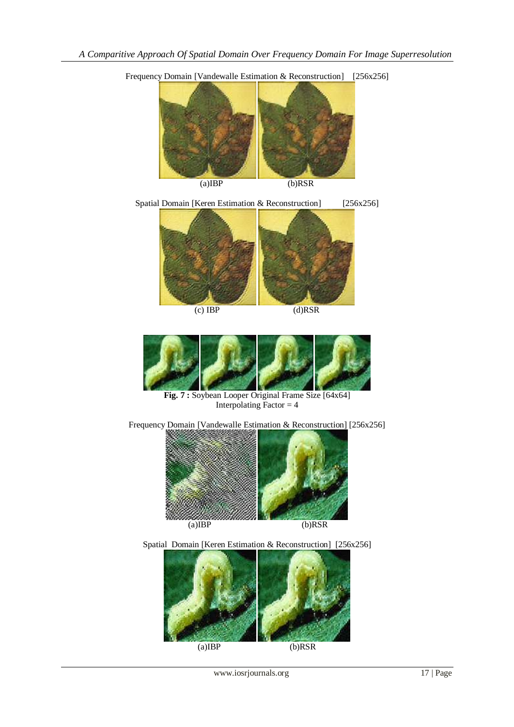

Frequency Domain [Vandewalle Estimation & Reconstruction] [256x256]

 $(c) IBP$  (d)RSR

ľ



**Fig. 7 :** Soybean Looper Original Frame Size [64x64] Interpolating Factor  $=$  4

Frequency Domain [Vandewalle Estimation & Reconstruction] [256x256]



Spatial Domain [Keren Estimation & Reconstruction] [256x256]

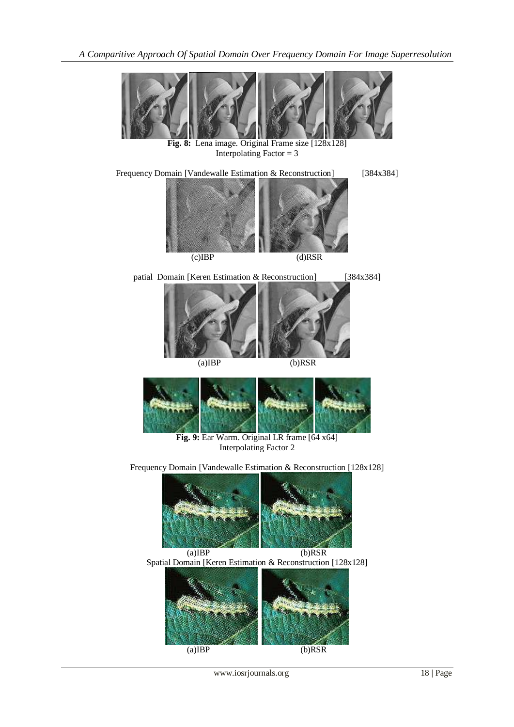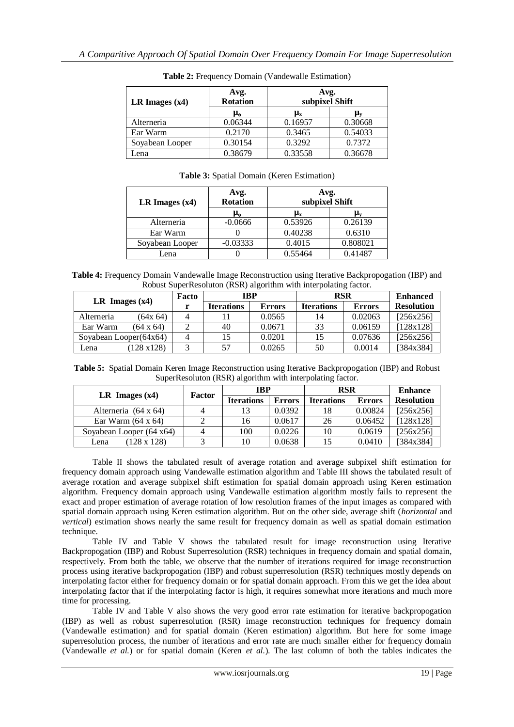| LR Images $(x4)$ | Avg.<br><b>Rotation</b> | Avg.<br>subpixel Shift |         |  |  |
|------------------|-------------------------|------------------------|---------|--|--|
|                  | μ <sub>e</sub>          | $\mu_{\rm x}$          | μ.      |  |  |
| Alterneria       | 0.06344                 | 0.16957                | 0.30668 |  |  |
| Ear Warm         | 0.2170                  | 0.3465                 | 0.54033 |  |  |
| Soyabean Looper  | 0.30154                 | 0.3292                 | 0.7372  |  |  |
| Lena             | 0.38679                 | 0.33558                | 0.36678 |  |  |

**Table 2:** Frequency Domain (Vandewalle Estimation)

|                  | Avg.            | Avg.<br>subpixel Shift          |         |  |  |
|------------------|-----------------|---------------------------------|---------|--|--|
| LR Images $(x4)$ | <b>Rotation</b> |                                 |         |  |  |
|                  | μ <sub>е</sub>  | $\boldsymbol{\mu}_{\mathbf{x}}$ | Ц.,     |  |  |
| Alterneria       | $-0.0666$       | 0.53926                         | 0.26139 |  |  |
| Ear Warm         |                 | 0.40238                         | 0.6310  |  |  |

Soyabean Looper | -0.03333 | 0.4015 | 0.808021 Lena 0 0.55464 0.41487

**Table 3:** Spatial Domain (Keren Estimation)

**Table 4:** Frequency Domain Vandewalle Image Reconstruction using Iterative Backpropogation (IBP) and Robust SuperResoluton (RSR) algorithm with interpolating factor.

| LR Images $(x4)$          |                    | Facto | <b>IBP</b>        |               | <b>RSR</b>        |               | <b>Enhanced</b>   |
|---------------------------|--------------------|-------|-------------------|---------------|-------------------|---------------|-------------------|
|                           |                    |       | <b>Iterations</b> | <b>Errors</b> | <b>Iterations</b> | <b>Errors</b> | <b>Resolution</b> |
| Alterneria                | (64x 64)           |       |                   | 0.0565        | 14                | 0.02063       | [256x256]         |
| Ear Warm                  | $(64 \times 64)$   |       | 40                | 0.0671        | 33                | 0.06159       | [128x128]         |
| Soyabean Looper $(64x64)$ |                    |       |                   | 0.0201        | 15                | 0.07636       | [256x256]         |
| Lena                      | $(128 \times 128)$ |       | 57                | 0.0265        | 50                | 0.0014        | [384x384]         |

**Table 5:** Spatial Domain Keren Image Reconstruction using Iterative Backpropogation (IBP) and Robust SuperResoluton (RSR) algorithm with interpolating factor.

|                                  | Factor | <b>IBP</b>        |               | <b>RSR</b>        |               | <b>Enhance</b>    |
|----------------------------------|--------|-------------------|---------------|-------------------|---------------|-------------------|
| LR Images $(x4)$                 |        | <b>Iterations</b> | <b>Errors</b> | <b>Iterations</b> | <b>Errors</b> | <b>Resolution</b> |
| Alterneria (64 x 64)             |        | 13                | 0.0392        | 18                | 0.00824       | [256x256]         |
| Ear Warm $(64 \times 64)$        |        | 16                | 0.0617        | 26                | 0.06452       | [128x128]         |
| Soyabean Looper $(64 \times 64)$ |        | 100               | 0.0226        | 10                | 0.0619        | [256x256]         |
| $(128 \times 128)$<br>Lena       |        | 10                | 0.0638        | 15                | 0.0410        | [384x384]         |

Table II shows the tabulated result of average rotation and average subpixel shift estimation for frequency domain approach using Vandewalle estimation algorithm and Table III shows the tabulated result of average rotation and average subpixel shift estimation for spatial domain approach using Keren estimation algorithm. Frequency domain approach using Vandewalle estimation algorithm mostly fails to represent the exact and proper estimation of average rotation of low resolution frames of the input images as compared with spatial domain approach using Keren estimation algorithm. But on the other side, average shift (*horizontal* and *vertical*) estimation shows nearly the same result for frequency domain as well as spatial domain estimation technique.

Table IV and Table V shows the tabulated result for image reconstruction using Iterative Backpropogation (IBP) and Robust Superresolution (RSR) techniques in frequency domain and spatial domain, respectively. From both the table, we observe that the number of iterations required for image reconstruction process using iterative backpropogation (IBP) and robust superresolution (RSR) techniques mostly depends on interpolating factor either for frequency domain or for spatial domain approach. From this we get the idea about interpolating factor that if the interpolating factor is high, it requires somewhat more iterations and much more time for processing.

Table IV and Table V also shows the very good error rate estimation for iterative backpropogation (IBP) as well as robust superresolution (RSR) image reconstruction techniques for frequency domain (Vandewalle estimation) and for spatial domain (Keren estimation) algorithm. But here for some image superresolution process, the number of iterations and error rate are much smaller either for frequency domain (Vandewalle *et al.*) or for spatial domain (Keren *et al.*). The last column of both the tables indicates the